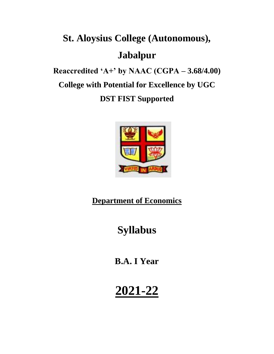# **St. Aloysius College (Autonomous), Jabalpur Reaccredited 'A+' by NAAC (CGPA – 3.68/4.00) College with Potential for Excellence by UGC**

**DST FIST Supported**



#### **Department of Economics**

## **Syllabus**

**B.A. I Year**

# **2021-22**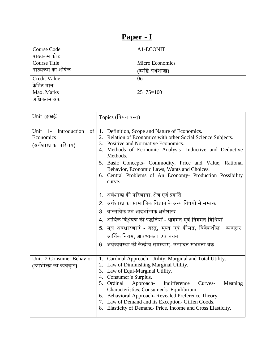### **Paper - I**

| <b>Course Code</b>  | A1-ECONIT             |
|---------------------|-----------------------|
| पाठ्यक्रम कोड       |                       |
| Course Title        | Micro Economics       |
| पाठ्यक्रम का शीर्षक | (व्यष्टि अर्थशास्त्र) |
| Credit Value        | 06                    |
| क्रेडिट मान         |                       |
| Max. Marks          | $25+75=100$           |
| अधिकतम अंक          |                       |

| Unit (इकाई)                                                                | $\overline{\mathrm{Topics}}$ (विषय वस्तु)                                                                                                                                                                                                                                                                                                                                                                                                                                                                                           |
|----------------------------------------------------------------------------|-------------------------------------------------------------------------------------------------------------------------------------------------------------------------------------------------------------------------------------------------------------------------------------------------------------------------------------------------------------------------------------------------------------------------------------------------------------------------------------------------------------------------------------|
| Introduction<br>Unit<br>$-1-$<br>of<br>Economics<br>(अर्थशास्त्र का परिचय) | 1. Definition, Scope and Nature of Economics.<br>2. Relation of Economics with other Social Science Subjects.<br>3. Positive and Normative Economics.<br>4. Methods of Economic Analysis- Inductive and Deductive<br>Methods.<br>5. Basic Concepts- Commodity, Price and Value, Rational<br>Behavior, Economic Laws, Wants and Choices.<br>6. Central Problems of An Economy- Production Possibility<br>curve.<br>1.   अर्थशास्त्र की परिभाषा, क्षेत्र एवं प्रकृति<br>2.   अर्थशास्त्र का सामाजिक विज्ञान के अन्य विषयों से सम्बन्ध |
|                                                                            | 3. वास्तविक एवं आदर्शात्मक अर्थशास्त्र<br>4.  आर्थिक विश्लेषण की पद्धतियाँ - आगमन एवं निगमन विधियाँ<br>5. मूल अवधारणाएं - वस्तु, मूल्य एवं कीमत, विवेकशील<br>व्यवहार,<br>आर्थिक नियम, आवश्यकता एवं चयन<br>6.  अर्थव्यवस्था की केन्द्रीय समस्याए- उत्पादन संभवना वक्र                                                                                                                                                                                                                                                                |
| Unit -2 Consumer Behavior<br>(उपभोक्ता का व्यवहार)                         | 1. Cardinal Approach-Utility, Marginal and Total Utility.<br>2. Law of Diminishing Marginal Utility.<br>3. Law of Equi-Marginal Utility.<br>4. Consumer's Surplus.<br>5. Ordinal<br>Curves-<br>Meaning<br>Approach-<br>Indifference<br>Characteristics, Consumer's Equilibrium.<br>6. Behavioral Approach-Revealed Preference Theory.<br>7. Law of Demand and its Exception- Giffen Goods.<br>Elasticity of Demand-Price, Income and Cross Elasticity.                                                                              |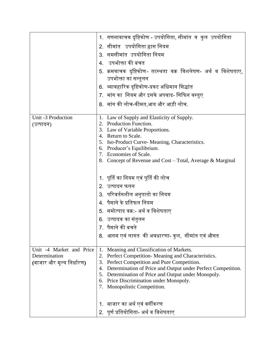|                                           | 1. गणनावाचक दृष्टिकोण - उपयोगिता, सीमांत व कुल उपयोगिता                                                |
|-------------------------------------------|--------------------------------------------------------------------------------------------------------|
|                                           | 2. सीमांत उपयोगिता ह्रास नियम                                                                          |
|                                           | 3. समसीमांत उपयोगिता नियम                                                                              |
|                                           | 4.   उपभोक्ता की बचत                                                                                   |
|                                           | 5. क्रमवाचक दृष्टिकोण- तटस्थता वक्र विशलेषण- अर्थ व विशेषताए,                                          |
|                                           | उपभोक्ता का सन्तुलन                                                                                    |
|                                           | 6. व्यावहारिक दृष्टिकोण-प्रकट अधिमान सिद्धांत                                                          |
|                                           | 7. मांग का  नियम और इसके अपवाद- गिफिन वस्तुए                                                           |
|                                           | 8. मांग की लोच-कीमत,आय और आड़ी लोच.                                                                    |
|                                           |                                                                                                        |
| Unit -3 Production                        | 1. Law of Supply and Elasticity of Supply.                                                             |
| (उत्पादन)                                 | 2. Production Function.<br>3. Law of Variable Proportions.                                             |
|                                           | 4. Return to Scale.                                                                                    |
|                                           | 5. Iso-Product Curve- Meaning, Characteristics.                                                        |
|                                           | 6. Producer's Equilibrium.                                                                             |
|                                           | 7. Economies of Scale.                                                                                 |
|                                           | 8. Concept of Revenue and Cost – Total, Average & Marginal                                             |
|                                           |                                                                                                        |
|                                           | 1.  पूर्ति का नियम एवं पूर्ति की लोच                                                                   |
|                                           | 2. उत्पादन फलन                                                                                         |
|                                           | 3.  परिवर्तनशील अनुपातो का नियम                                                                        |
|                                           | 4.  पैमाने के प्रतिफल नियम                                                                             |
|                                           | 5.  समोत्पाद वक्र:- अर्थ व विशेषताए                                                                    |
|                                           | 6.  उत्पादक का संतुलन                                                                                  |
|                                           | 7. पैमाने की बचते                                                                                      |
|                                           | 8.  आगम एवं लागत  की अवधारणा- कुल,  सीमांत एवं औसत                                                     |
|                                           |                                                                                                        |
| Unit -4 Market and Price<br>Determination | Meaning and Classification of Markets.<br>1.<br>Perfect Competition-Meaning and Characteristics.<br>2. |
| (बाजार और मूल्य निर्धारण)                 | Perfect Competition and Pure Competition.<br>3.                                                        |
|                                           | Determination of Price and Output under Perfect Competition.<br>4.                                     |
|                                           | Determination of Price and Output under Monopoly.<br>5.                                                |
|                                           | Price Discrimination under Monopoly.<br>6.                                                             |
|                                           | Monopolistic Competition.<br>7.                                                                        |
|                                           |                                                                                                        |
|                                           | 1.  बाजार का अर्थ एवं वर्गीकरण                                                                         |
|                                           | 2. पूर्ण प्रतियोगिता- अर्थ व विशेषताए                                                                  |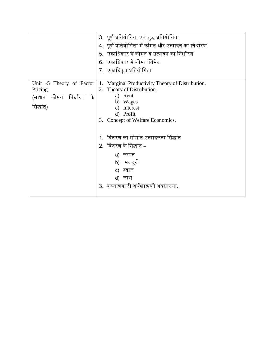|                                                                            | 3. पूर्ण प्रतियोगिता एवं शुद्ध प्रतियोगिता<br>4.  पूर्ण प्रतियोगिता में कीमत और उत्पादन का निर्धारण<br>5. एकाधिकार में कीमत व उत्पादन का निर्धारण<br>6.  एकाधिकार में कीमत विभेद<br>7.  एकाधिकृत प्रतियोगिता |
|----------------------------------------------------------------------------|--------------------------------------------------------------------------------------------------------------------------------------------------------------------------------------------------------------|
| Unit -5 Theory of Factor<br>Pricing<br>(साधन कीमत निर्धारण के<br>सिद्धांत) | 1.<br>Marginal Productivity Theory of Distribution.<br>Theory of Distribution-<br>2.<br>a) Rent<br>b) Wages<br>Interest<br>C)<br>d) Profit<br>Concept of Welfare Economics.<br>3.                            |
|                                                                            | वितरण का सीमांत उत्पादकता सिद्धांत<br>2.  वितरण के सिद्धांत –<br>a) लगान<br>b) मजदूरी<br>c) ब्याज<br>d) लाभ<br>3.  कल्याणकारी अर्थशास्त्रकी अवधारणा.                                                         |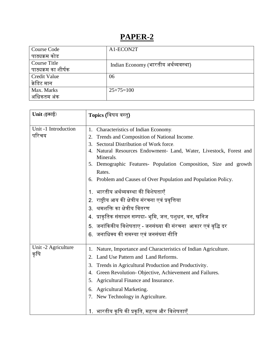#### **PAPER-2**

| Course Code         | A1-ECON2T                            |
|---------------------|--------------------------------------|
| पाठ्यक्रम कोड       |                                      |
| Course Title        | Indian Economy (भारतीय अर्थव्यवस्था) |
| पाठ्यक्रम का शीर्षक |                                      |
| Credit Value        | 06                                   |
| क्रेडिट मान         |                                      |
| Max. Marks          | $25+75=100$                          |
| अधिकतम अंक          |                                      |

| $Unit$ (इकाई)                 | Topics (विषय वस्तु)                                                                                                                                                                                                                                                                                                                                                                                                                                                                                                                                                                                                                                                                         |
|-------------------------------|---------------------------------------------------------------------------------------------------------------------------------------------------------------------------------------------------------------------------------------------------------------------------------------------------------------------------------------------------------------------------------------------------------------------------------------------------------------------------------------------------------------------------------------------------------------------------------------------------------------------------------------------------------------------------------------------|
| Unit -1 Introduction<br>परिचय | Characteristics of Indian Economy.<br>1.<br>Trends and Composition of National Income.<br>2.<br>Sectoral Distribution of Work force.<br>3.<br>Natural Resources Endowment- Land, Water, Livestock, Forest and<br>4.<br>Minerals.<br>Demographic Features- Population Composition, Size and growth<br>5.<br>Rates.<br>6. Problem and Causes of Over Population and Population Policy.<br>1. भारतीय अर्थव्यवस्था की विशेषताएँ<br>2. राष्ट्रीय आय की क्षेत्रीय संरचना एवं प्रवृत्तिया<br>3. श्रमशक्ति का क्षेत्रीय वितरण<br>4.  प्राकृतिक संसाधन सम्पदा- भूमि, जल, पशुधन, वन, खनिज<br>5. जनांकिकीय विशेषताए - जनसंख्या की संरचना आकार एवं वृद्धि दर<br>6. जनाधिक्य की समस्या एवं जनसंख्या नीति |
| Unit -2 Agriculture<br>कृषि   | Nature, Importance and Characteristics of Indian Agriculture.<br>1.<br>Land Use Pattern and Land Reforms.<br>3.<br>Trends in Agricultural Production and Productivity.<br>Green Revolution-Objective, Achievement and Failures.<br>4.<br>Agricultural Finance and Insurance.<br>5.<br>6. Agricultural Marketing.<br>7. New Technology in Agriculture.<br>1. भारतीय कृषि की प्रकृति, महत्त्व और विशेषताएँ                                                                                                                                                                                                                                                                                    |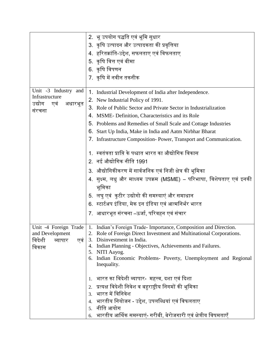|                                               | 2.  भू उपयोग पद्धति एवं भूमि सुधार                                                                 |
|-----------------------------------------------|----------------------------------------------------------------------------------------------------|
|                                               | 3. कृषि उत्पादन और उत्पादकता की प्रवृत्तिया                                                        |
|                                               | 4. हरितक्रांति-उद्देश, सफलताए एवं विफलताए                                                          |
|                                               | 5. कृषि वित्त एवं बीमा                                                                             |
|                                               | 6. कृषि विपणन                                                                                      |
|                                               | 7. कृषि में नवीन तकनीक                                                                             |
|                                               |                                                                                                    |
| Unit -3 Industry and                          | 1. Industrial Development of India after Independence.                                             |
| Infrastructure                                | 2. New Industrial Policy of 1991.                                                                  |
| उद्योग<br>एवं<br>अधारभूत<br>संरचना            | 3. Role of Public Sector and Private Sector in Industrialization                                   |
|                                               | 4. MSME- Definition, Characteristics and its Role                                                  |
|                                               | 5. Problems and Remedies of Small Scale and Cottage Industries                                     |
|                                               | 6.<br>Start Up India, Make in India and Aatm Nirbhar Bharat                                        |
|                                               | 7. Infrastructure Composition-Power, Transport and Communication.                                  |
|                                               | 1. स्वतंत्रता प्राप्ति के पश्चात भारत का औद्योगिक विकास                                            |
|                                               | 2. नई औद्योगिक नीति 1991                                                                           |
|                                               | 3. औद्योगिकीकरण में सार्वजनिक एवं निजी क्षेत्र की भूमिका                                           |
|                                               | 4. सुक्ष्म, लधु और माध्यम उपक्रम (MSME) – परिभाषा, विशेषताए एवं इनकी                               |
|                                               | भूमिका                                                                                             |
|                                               | 5. लघु एवं कुटीर उद्योगो की समस्याएं और समाधान                                                     |
|                                               | 6. स्टार्टअप इंडिया, मेक इन इंडिया एवं आत्मनिर्भर भारत                                             |
|                                               | 7. आधारभूत संरचना –ऊर्जा, परिवहन एवं संचार                                                         |
|                                               |                                                                                                    |
|                                               | Unit -4 Foreign Trade   1. Indian's Foreign Trade-Importance, Composition and Direction.           |
| and Development<br>विदेशी<br>एवं ।<br>व्यापार | 2. Role of Foreign Direct Investment and Multinational Corporations.<br>3. Disinvestment in India. |
| विकास                                         | 4. Indian Planning - Objectives, Achievements and Failures.                                        |
|                                               | 5. NITI Aayog.                                                                                     |
|                                               | Indian Economic Problems- Poverty, Unemployment and Regional<br>6.<br>Inequality.                  |
|                                               |                                                                                                    |
|                                               | 1.   भारत का विदेशी व्यापार-  महत्त्व, दशा एवं दिशा                                                |
|                                               | 2. प्रत्यक्ष विदेशी निवेश व बहुराष्ट्रीय निगमों की भूमिका                                          |
|                                               | 3. भारत में विनिवेश                                                                                |
|                                               | 4.   भारतीय नियोजन - उद्देश, उपलब्धियां एवं विफलताए                                                |
|                                               | 5. नीति आयोग                                                                                       |
|                                               | भारतीय आर्थिक समस्याएं- गरीबी, बेरोजगारी एवं क्षेत्रीय विषमताएँ<br>6.                              |